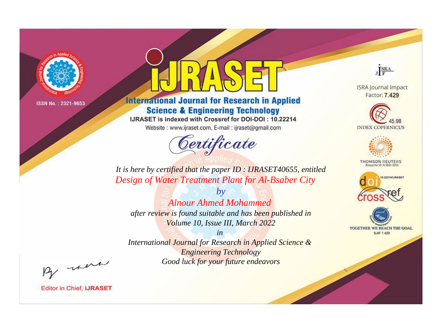

# **International Journal for Research in Applied Science & Engineering Technology**

IJRASET is indexed with Crossref for DOI-DOI: 10.22214

Website: www.ijraset.com, E-mail: ijraset@gmail.com



JERA

**ISRA Journal Impact** Factor: 7.429





**THOMSON REUTERS** 



TOGETHER WE REACH THE GOAL **SJIF 7.429** 

It is here by certified that the paper ID: IJRASET40655, entitled Design of Water Treatment Plant for Al-Bsaber City

**Alnour Ahmed Mohammed** after review is found suitable and has been published in Volume 10, Issue III, March 2022

 $b\nu$ 

 $in$ International Journal for Research in Applied Science & **Engineering Technology** Good luck for your future endeavors

By morn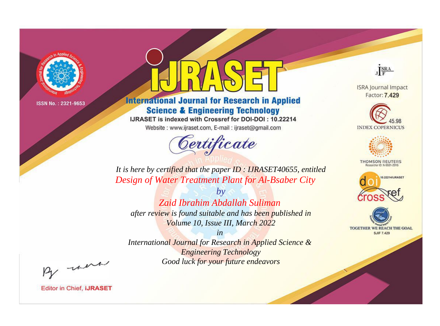

# **International Journal for Research in Applied Science & Engineering Technology**

IJRASET is indexed with Crossref for DOI-DOI: 10.22214

Website: www.ijraset.com, E-mail: ijraset@gmail.com



JERA

**ISRA Journal Impact** Factor: 7.429





**THOMSON REUTERS** 



TOGETHER WE REACH THE GOAL **SJIF 7.429** 

*It is here by certified that the paper ID : IJRASET40655, entitled Design of Water Treatment Plant for Al-Bsaber City*

*by Zaid Ibrahim Abdallah Suliman after review is found suitable and has been published in Volume 10, Issue III, March 2022*

*in* 

*International Journal for Research in Applied Science & Engineering Technology Good luck for your future endeavors*

By morn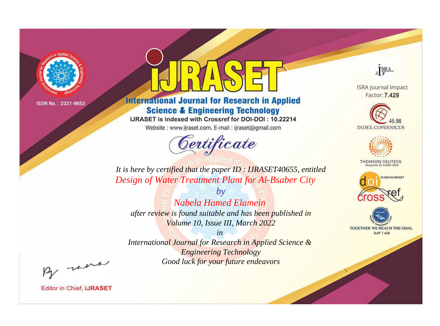

# **International Journal for Research in Applied Science & Engineering Technology**

IJRASET is indexed with Crossref for DOI-DOI: 10.22214

Website: www.ijraset.com, E-mail: ijraset@gmail.com



JERA

**ISRA Journal Impact** Factor: 7.429





**THOMSON REUTERS** 



TOGETHER WE REACH THE GOAL **SJIF 7.429** 

It is here by certified that the paper ID: IJRASET40655, entitled Design of Water Treatment Plant for Al-Bsaber City

Nabela Hamed Elamein after review is found suitable and has been published in Volume 10, Issue III, March 2022

 $b\nu$ 

 $in$ International Journal for Research in Applied Science & **Engineering Technology** Good luck for your future endeavors

By morn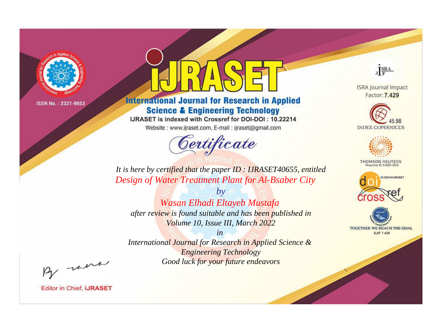

# **International Journal for Research in Applied Science & Engineering Technology**

IJRASET is indexed with Crossref for DOI-DOI: 10.22214

Website: www.ijraset.com, E-mail: ijraset@gmail.com



JERA

**ISRA Journal Impact** Factor: 7.429





**THOMSON REUTERS** 



TOGETHER WE REACH THE GOAL **SJIF 7.429** 

It is here by certified that the paper ID: IJRASET40655, entitled Design of Water Treatment Plant for Al-Bsaber City

 $by$ Wasan Elhadi Eltayeb Mustafa after review is found suitable and has been published in Volume 10, Issue III, March 2022

 $in$ International Journal for Research in Applied Science & **Engineering Technology** Good luck for your future endeavors

By morn